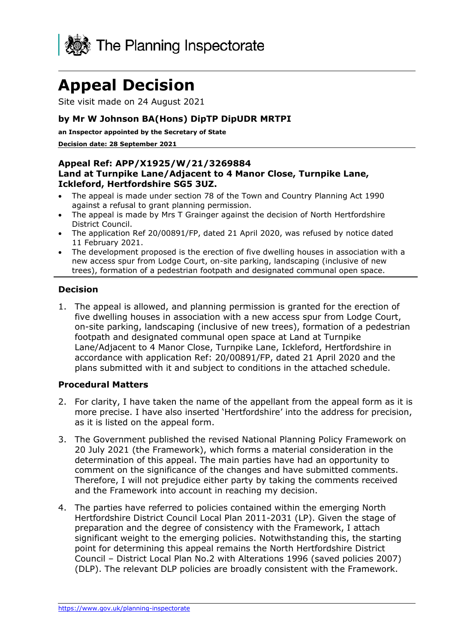

# **Appeal Decision**

Site visit made on 24 August 2021

## **by Mr W Johnson BA(Hons) DipTP DipUDR MRTPI**

**an Inspector appointed by the Secretary of State** 

**Decision date: 28 September 2021**

#### **Appeal Ref: APP/X1925/W/21/3269884 Land at Turnpike Lane/Adjacent to 4 Manor Close, Turnpike Lane, Ickleford, Hertfordshire SG5 3UZ.**

- The appeal is made under section 78 of the Town and Country Planning Act 1990 against a refusal to grant planning permission.
- The appeal is made by Mrs T Grainger against the decision of North Hertfordshire District Council.
- The application Ref 20/00891/FP, dated 21 April 2020, was refused by notice dated 11 February 2021.
- The development proposed is the erection of five dwelling houses in association with a new access spur from Lodge Court, on-site parking, landscaping (inclusive of new trees), formation of a pedestrian footpath and designated communal open space.

## **Decision**

1. The appeal is allowed, and planning permission is granted for the erection of five dwelling houses in association with a new access spur from Lodge Court, on-site parking, landscaping (inclusive of new trees), formation of a pedestrian footpath and designated communal open space at Land at Turnpike Lane/Adjacent to 4 Manor Close, Turnpike Lane, Ickleford, Hertfordshire in accordance with application Ref: 20/00891/FP, dated 21 April 2020 and the plans submitted with it and subject to conditions in the attached schedule.

#### **Procedural Matters**

- 2. For clarity, I have taken the name of the appellant from the appeal form as it is more precise. I have also inserted 'Hertfordshire' into the address for precision, as it is listed on the appeal form.
- 3. The Government published the revised National Planning Policy Framework on 20 July 2021 (the Framework), which forms a material consideration in the determination of this appeal. The main parties have had an opportunity to comment on the significance of the changes and have submitted comments. Therefore, I will not prejudice either party by taking the comments received and the Framework into account in reaching my decision.
- 4. The parties have referred to policies contained within the emerging North Hertfordshire District Council Local Plan 2011-2031 (LP). Given the stage of preparation and the degree of consistency with the Framework, I attach significant weight to the emerging policies. Notwithstanding this, the starting point for determining this appeal remains the North Hertfordshire District Council – District Local Plan No.2 with Alterations 1996 (saved policies 2007) (DLP). The relevant DLP policies are broadly consistent with the Framework.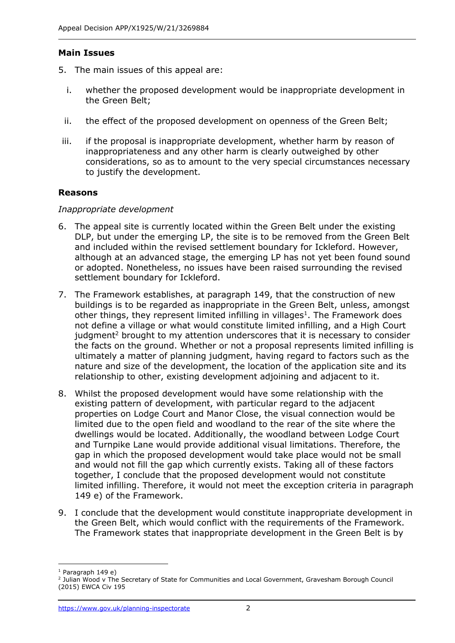## **Main Issues**

- 5. The main issues of this appeal are:
	- i. whether the proposed development would be inappropriate development in the Green Belt;
	- ii. the effect of the proposed development on openness of the Green Belt;
- iii. if the proposal is inappropriate development, whether harm by reason of inappropriateness and any other harm is clearly outweighed by other considerations, so as to amount to the very special circumstances necessary to justify the development.

# **Reasons**

#### *Inappropriate development*

- 6. The appeal site is currently located within the Green Belt under the existing DLP, but under the emerging LP, the site is to be removed from the Green Belt and included within the revised settlement boundary for Ickleford. However, although at an advanced stage, the emerging LP has not yet been found sound or adopted. Nonetheless, no issues have been raised surrounding the revised settlement boundary for Ickleford.
- 7. The Framework establishes, at paragraph 149, that the construction of new buildings is to be regarded as inappropriate in the Green Belt, unless, amongst other things, they represent limited infilling in villages $<sup>1</sup>$ . The Framework does</sup> not define a village or what would constitute limited infilling, and a High Court judgment<sup>2</sup> brought to my attention underscores that it is necessary to consider the facts on the ground. Whether or not a proposal represents limited infilling is ultimately a matter of planning judgment, having regard to factors such as the nature and size of the development, the location of the application site and its relationship to other, existing development adjoining and adjacent to it.
- 8. Whilst the proposed development would have some relationship with the existing pattern of development, with particular regard to the adjacent properties on Lodge Court and Manor Close, the visual connection would be limited due to the open field and woodland to the rear of the site where the dwellings would be located. Additionally, the woodland between Lodge Court and Turnpike Lane would provide additional visual limitations. Therefore, the gap in which the proposed development would take place would not be small and would not fill the gap which currently exists. Taking all of these factors together, I conclude that the proposed development would not constitute limited infilling. Therefore, it would not meet the exception criteria in paragraph 149 e) of the Framework.
- 9. I conclude that the development would constitute inappropriate development in the Green Belt, which would conflict with the requirements of the Framework. The Framework states that inappropriate development in the Green Belt is by

 $1$  Paragraph 149 e)

<sup>2</sup> Julian Wood v The Secretary of State for Communities and Local Government, Gravesham Borough Council (2015) EWCA Civ 195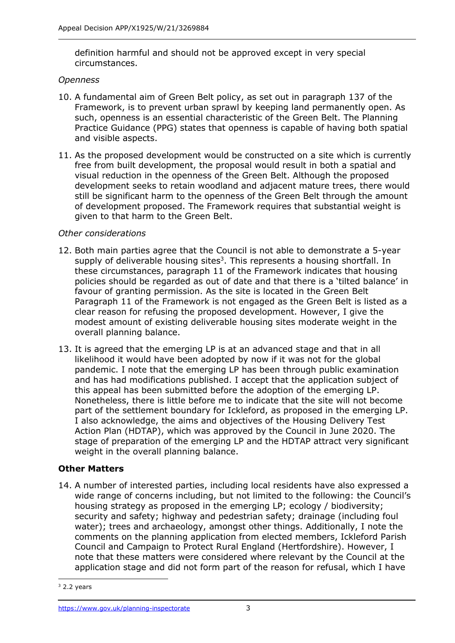definition harmful and should not be approved except in very special circumstances.

#### *Openness*

- 10. A fundamental aim of Green Belt policy, as set out in paragraph 137 of the Framework, is to prevent urban sprawl by keeping land permanently open. As such, openness is an essential characteristic of the Green Belt. The Planning Practice Guidance (PPG) states that openness is capable of having both spatial and visible aspects.
- 11. As the proposed development would be constructed on a site which is currently free from built development, the proposal would result in both a spatial and visual reduction in the openness of the Green Belt. Although the proposed development seeks to retain woodland and adjacent mature trees, there would still be significant harm to the openness of the Green Belt through the amount of development proposed. The Framework requires that substantial weight is given to that harm to the Green Belt.

## *Other considerations*

- 12. Both main parties agree that the Council is not able to demonstrate a 5-year supply of deliverable housing sites<sup>3</sup>. This represents a housing shortfall. In these circumstances, paragraph 11 of the Framework indicates that housing policies should be regarded as out of date and that there is a 'tilted balance' in favour of granting permission. As the site is located in the Green Belt Paragraph 11 of the Framework is not engaged as the Green Belt is listed as a clear reason for refusing the proposed development. However, I give the modest amount of existing deliverable housing sites moderate weight in the overall planning balance.
- 13. It is agreed that the emerging LP is at an advanced stage and that in all likelihood it would have been adopted by now if it was not for the global pandemic. I note that the emerging LP has been through public examination and has had modifications published. I accept that the application subject of this appeal has been submitted before the adoption of the emerging LP. Nonetheless, there is little before me to indicate that the site will not become part of the settlement boundary for Ickleford, as proposed in the emerging LP. I also acknowledge, the aims and objectives of the Housing Delivery Test Action Plan (HDTAP), which was approved by the Council in June 2020. The stage of preparation of the emerging LP and the HDTAP attract very significant weight in the overall planning balance.

# **Other Matters**

14. A number of interested parties, including local residents have also expressed a wide range of concerns including, but not limited to the following: the Council's housing strategy as proposed in the emerging LP; ecology / biodiversity; security and safety; highway and pedestrian safety; drainage (including foul water); trees and archaeology, amongst other things. Additionally, I note the comments on the planning application from elected members, Ickleford Parish Council and Campaign to Protect Rural England (Hertfordshire). However, I note that these matters were considered where relevant by the Council at the application stage and did not form part of the reason for refusal, which I have

 $3$  2.2 years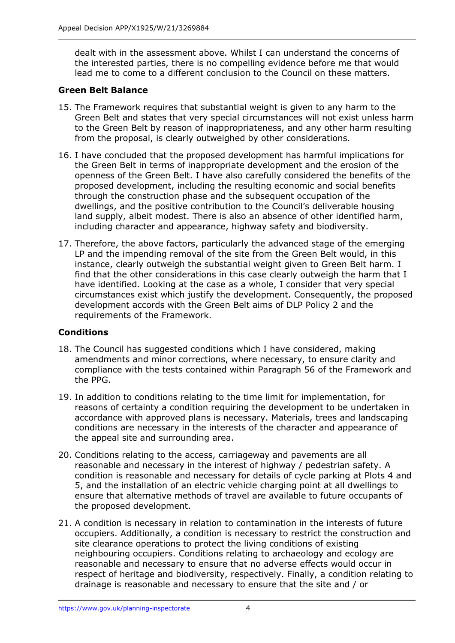dealt with in the assessment above. Whilst I can understand the concerns of the interested parties, there is no compelling evidence before me that would lead me to come to a different conclusion to the Council on these matters.

# **Green Belt Balance**

- 15. The Framework requires that substantial weight is given to any harm to the Green Belt and states that very special circumstances will not exist unless harm to the Green Belt by reason of inappropriateness, and any other harm resulting from the proposal, is clearly outweighed by other considerations.
- 16. I have concluded that the proposed development has harmful implications for the Green Belt in terms of inappropriate development and the erosion of the openness of the Green Belt. I have also carefully considered the benefits of the proposed development, including the resulting economic and social benefits through the construction phase and the subsequent occupation of the dwellings, and the positive contribution to the Council's deliverable housing land supply, albeit modest. There is also an absence of other identified harm, including character and appearance, highway safety and biodiversity.
- 17. Therefore, the above factors, particularly the advanced stage of the emerging LP and the impending removal of the site from the Green Belt would, in this instance, clearly outweigh the substantial weight given to Green Belt harm. I find that the other considerations in this case clearly outweigh the harm that I have identified. Looking at the case as a whole, I consider that very special circumstances exist which justify the development. Consequently, the proposed development accords with the Green Belt aims of DLP Policy 2 and the requirements of the Framework.

# **Conditions**

- 18. The Council has suggested conditions which I have considered, making amendments and minor corrections, where necessary, to ensure clarity and compliance with the tests contained within Paragraph 56 of the Framework and the PPG.
- 19. In addition to conditions relating to the time limit for implementation, for reasons of certainty a condition requiring the development to be undertaken in accordance with approved plans is necessary. Materials, trees and landscaping conditions are necessary in the interests of the character and appearance of the appeal site and surrounding area.
- 20. Conditions relating to the access, carriageway and pavements are all reasonable and necessary in the interest of highway / pedestrian safety. A condition is reasonable and necessary for details of cycle parking at Plots 4 and 5, and the installation of an electric vehicle charging point at all dwellings to ensure that alternative methods of travel are available to future occupants of the proposed development.
- 21. A condition is necessary in relation to contamination in the interests of future occupiers. Additionally, a condition is necessary to restrict the construction and site clearance operations to protect the living conditions of existing neighbouring occupiers. Conditions relating to archaeology and ecology are reasonable and necessary to ensure that no adverse effects would occur in respect of heritage and biodiversity, respectively. Finally, a condition relating to drainage is reasonable and necessary to ensure that the site and / or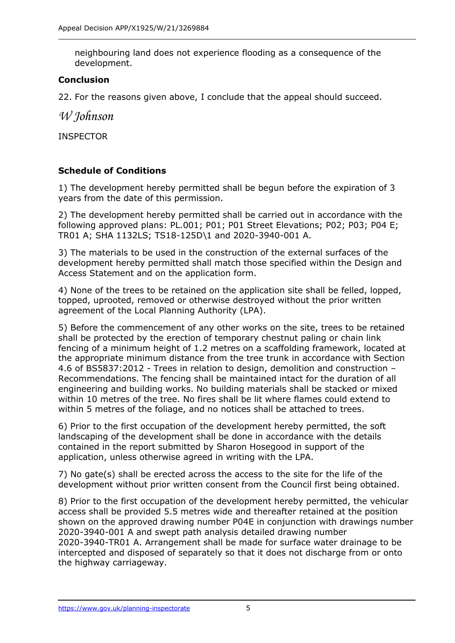neighbouring land does not experience flooding as a consequence of the development.

# **Conclusion**

22. For the reasons given above, I conclude that the appeal should succeed.

*W Johnson*

INSPECTOR

# **Schedule of Conditions**

1) The development hereby permitted shall be begun before the expiration of 3 years from the date of this permission.

2) The development hereby permitted shall be carried out in accordance with the following approved plans: PL.001; P01; P01 Street Elevations; P02; P03; P04 E; TR01 A; SHA 1132LS; TS18-125D\1 and 2020-3940-001 A.

3) The materials to be used in the construction of the external surfaces of the development hereby permitted shall match those specified within the Design and Access Statement and on the application form.

4) None of the trees to be retained on the application site shall be felled, lopped, topped, uprooted, removed or otherwise destroyed without the prior written agreement of the Local Planning Authority (LPA).

5) Before the commencement of any other works on the site, trees to be retained shall be protected by the erection of temporary chestnut paling or chain link fencing of a minimum height of 1.2 metres on a scaffolding framework, located at the appropriate minimum distance from the tree trunk in accordance with Section 4.6 of BS5837:2012 - Trees in relation to design, demolition and construction – Recommendations. The fencing shall be maintained intact for the duration of all engineering and building works. No building materials shall be stacked or mixed within 10 metres of the tree. No fires shall be lit where flames could extend to within 5 metres of the foliage, and no notices shall be attached to trees.

6) Prior to the first occupation of the development hereby permitted, the soft landscaping of the development shall be done in accordance with the details contained in the report submitted by Sharon Hosegood in support of the application, unless otherwise agreed in writing with the LPA.

7) No gate(s) shall be erected across the access to the site for the life of the development without prior written consent from the Council first being obtained.

8) Prior to the first occupation of the development hereby permitted, the vehicular access shall be provided 5.5 metres wide and thereafter retained at the position shown on the approved drawing number P04E in conjunction with drawings number 2020-3940-001 A and swept path analysis detailed drawing number 2020-3940-TR01 A. Arrangement shall be made for surface water drainage to be intercepted and disposed of separately so that it does not discharge from or onto the highway carriageway.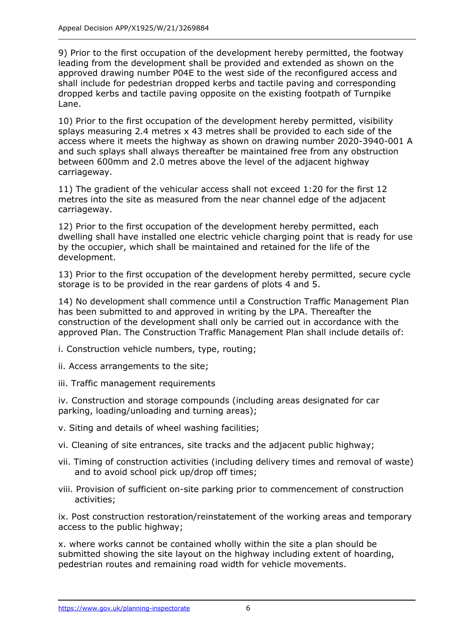9) Prior to the first occupation of the development hereby permitted, the footway leading from the development shall be provided and extended as shown on the approved drawing number P04E to the west side of the reconfigured access and shall include for pedestrian dropped kerbs and tactile paving and corresponding dropped kerbs and tactile paving opposite on the existing footpath of Turnpike Lane.

10) Prior to the first occupation of the development hereby permitted, visibility splays measuring 2.4 metres x 43 metres shall be provided to each side of the access where it meets the highway as shown on drawing number 2020-3940-001 A and such splays shall always thereafter be maintained free from any obstruction between 600mm and 2.0 metres above the level of the adjacent highway carriageway.

11) The gradient of the vehicular access shall not exceed 1:20 for the first 12 metres into the site as measured from the near channel edge of the adjacent carriageway.

12) Prior to the first occupation of the development hereby permitted, each dwelling shall have installed one electric vehicle charging point that is ready for use by the occupier, which shall be maintained and retained for the life of the development.

13) Prior to the first occupation of the development hereby permitted, secure cycle storage is to be provided in the rear gardens of plots 4 and 5.

14) No development shall commence until a Construction Traffic Management Plan has been submitted to and approved in writing by the LPA. Thereafter the construction of the development shall only be carried out in accordance with the approved Plan. The Construction Traffic Management Plan shall include details of:

i. Construction vehicle numbers, type, routing;

- ii. Access arrangements to the site;
- iii. Traffic management requirements

iv. Construction and storage compounds (including areas designated for car parking, loading/unloading and turning areas);

- v. Siting and details of wheel washing facilities;
- vi. Cleaning of site entrances, site tracks and the adjacent public highway;
- vii. Timing of construction activities (including delivery times and removal of waste) and to avoid school pick up/drop off times;
- viii. Provision of sufficient on-site parking prior to commencement of construction activities;

ix. Post construction restoration/reinstatement of the working areas and temporary access to the public highway;

x. where works cannot be contained wholly within the site a plan should be submitted showing the site layout on the highway including extent of hoarding, pedestrian routes and remaining road width for vehicle movements.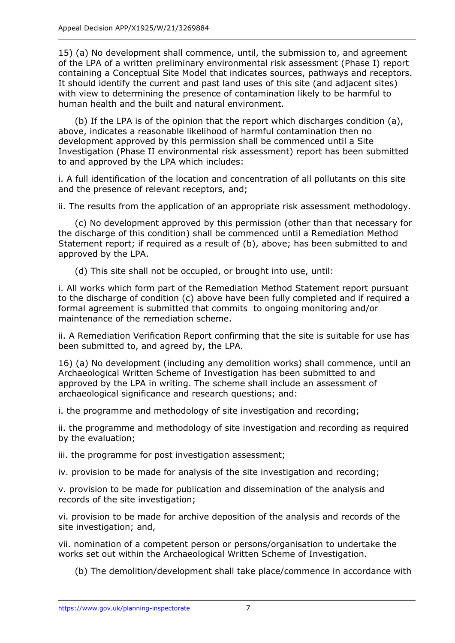15) (a) No development shall commence, until, the submission to, and agreement of the LPA of a written preliminary environmental risk assessment (Phase I) report containing a Conceptual Site Model that indicates sources, pathways and receptors. It should identify the current and past land uses of this site (and adjacent sites) with view to determining the presence of contamination likely to be harmful to human health and the built and natural environment.

(b) If the LPA is of the opinion that the report which discharges condition (a), above, indicates a reasonable likelihood of harmful contamination then no development approved by this permission shall be commenced until a Site Investigation (Phase II environmental risk assessment) report has been submitted to and approved by the LPA which includes:

i. A full identification of the location and concentration of all pollutants on this site and the presence of relevant receptors, and;

ii. The results from the application of an appropriate risk assessment methodology.

(c) No development approved by this permission (other than that necessary for the discharge of this condition) shall be commenced until a Remediation Method Statement report; if required as a result of (b), above; has been submitted to and approved by the LPA.

(d) This site shall not be occupied, or brought into use, until:

i. All works which form part of the Remediation Method Statement report pursuant to the discharge of condition (c) above have been fully completed and if required a formal agreement is submitted that commits to ongoing monitoring and/or maintenance of the remediation scheme.

ii. A Remediation Verification Report confirming that the site is suitable for use has been submitted to, and agreed by, the LPA.

16) (a) No development (including any demolition works) shall commence, until an Archaeological Written Scheme of Investigation has been submitted to and approved by the LPA in writing. The scheme shall include an assessment of archaeological significance and research questions; and:

i. the programme and methodology of site investigation and recording;

ii. the programme and methodology of site investigation and recording as required by the evaluation;

iii. the programme for post investigation assessment;

iv. provision to be made for analysis of the site investigation and recording;

v. provision to be made for publication and dissemination of the analysis and records of the site investigation;

vi. provision to be made for archive deposition of the analysis and records of the site investigation; and,

vii. nomination of a competent person or persons/organisation to undertake the works set out within the Archaeological Written Scheme of Investigation.

(b) The demolition/development shall take place/commence in accordance with